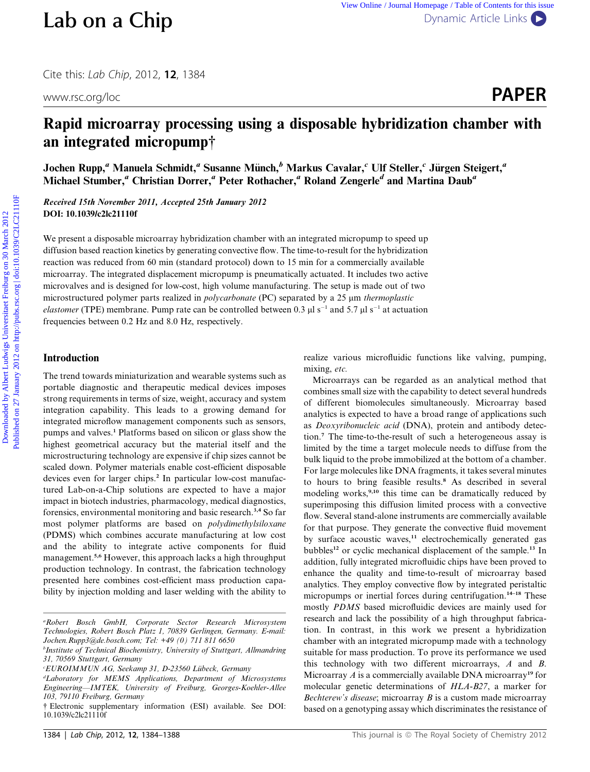Cite this: Lab Chip, 2012, <sup>12</sup>, 1384

# Rapid microarray processing using a disposable hybridization chamber with an integrated micropump†

Jochen Rupp,<sup>a</sup> Manuela Schmidt,<sup>a</sup> Susanne Münch,<sup>b</sup> Markus Cavalar,<sup>c</sup> Ulf Steller,<sup>c</sup> Jürgen Steigert,<sup>a</sup> Michael Stumber,<sup>a</sup> Christian Dorrer,<sup>a</sup> Peter Rothacher,<sup>a</sup> Roland Zengerle<sup>d</sup> and Martina Daub<sup>a</sup>

Received 15th November 2011, Accepted 25th January 2012 DOI: 10.1039/c2lc21110f

We present a disposable microarray hybridization chamber with an integrated micropump to speed up diffusion based reaction kinetics by generating convective flow. The time-to-result for the hybridization reaction was reduced from 60 min (standard protocol) down to 15 min for a commercially available microarray. The integrated displacement micropump is pneumatically actuated. It includes two active microvalves and is designed for low-cost, high volume manufacturing. The setup is made out of two microstructured polymer parts realized in *polycarbonate* (PC) separated by a 25  $\mu$ m *thermoplastic* elastomer (TPE) membrane. Pump rate can be controlled between 0.3  $\mu$ l s<sup>-1</sup> and 5.7  $\mu$ l s<sup>-1</sup> at actuation frequencies between 0.2 Hz and 8.0 Hz, respectively. **Lab on a Chip**<br>
Circ rbis: *lab* Chip, 2012, 12, 1384<br>
www.rc.org/loc<br> **Rapid microarray processing using a disposable hybridization chamber with<br>
an integrated micropumpy<br>
Joche Rapid microarray processing using a dispo** 

## Introduction

The trend towards miniaturization and wearable systems such as portable diagnostic and therapeutic medical devices imposes strong requirements in terms of size, weight, accuracy and system integration capability. This leads to a growing demand for integrated microflow management components such as sensors, pumps and valves.<sup>1</sup> Platforms based on silicon or glass show the highest geometrical accuracy but the material itself and the microstructuring technology are expensive if chip sizes cannot be scaled down. Polymer materials enable cost-efficient disposable devices even for larger chips.<sup>2</sup> In particular low-cost manufactured Lab-on-a-Chip solutions are expected to have a major impact in biotech industries, pharmacology, medical diagnostics, forensics, environmental monitoring and basic research.3,4 So far most polymer platforms are based on polydimethylsiloxane (PDMS) which combines accurate manufacturing at low cost and the ability to integrate active components for fluid management.<sup>5,6</sup> However, this approach lacks a high throughput production technology. In contrast, the fabrication technology presented here combines cost-efficient mass production capability by injection molding and laser welding with the ability to

realize various microfluidic functions like valving, pumping, mixing, etc.

Microarrays can be regarded as an analytical method that combines small size with the capability to detect several hundreds of different biomolecules simultaneously. Microarray based analytics is expected to have a broad range of applications such as Deoxyribonucleic acid (DNA), protein and antibody detection.<sup>7</sup> The time-to-the-result of such a heterogeneous assay is limited by the time a target molecule needs to diffuse from the bulk liquid to the probe immobilized at the bottom of a chamber. For large molecules like DNA fragments, it takes several minutes to hours to bring feasible results.<sup>8</sup> As described in several modeling works,<sup>9,10</sup> this time can be dramatically reduced by superimposing this diffusion limited process with a convective flow. Several stand-alone instruments are commercially available for that purpose. They generate the convective fluid movement by surface acoustic waves,<sup>11</sup> electrochemically generated gas bubbles<sup>12</sup> or cyclic mechanical displacement of the sample.<sup>13</sup> In addition, fully integrated microfluidic chips have been proved to enhance the quality and time-to-result of microarray based analytics. They employ convective flow by integrated peristaltic micropumps or inertial forces during centrifugation.14–18 These mostly PDMS based microfluidic devices are mainly used for research and lack the possibility of a high throughput fabrication. In contrast, in this work we present a hybridization chamber with an integrated micropump made with a technology suitable for mass production. To prove its performance we used this technology with two different microarrays, A and B. Microarray  $A$  is a commercially available DNA microarray<sup>19</sup> for molecular genetic determinations of HLA-B27, a marker for Bechterew's disease; microarray  $B$  is a custom made microarray based on a genotyping assay which discriminates the resistance of

a Robert Bosch GmbH, Corporate Sector Research Microsystem Technologies, Robert Bosch Platz 1, 70839 Gerlingen, Germany. E-mail: Jochen.Rupp3@de.bosch.com; Tel: +49 (0) 711 811 6650

<sup>&</sup>lt;sup>b</sup>Institute of Technical Biochemistry, University of Stuttgart, Allmandring 31, 70569 Stuttgart, Germany

EUROIMMUN AG, Seekamp 31, D-23560 Lübeck, Germany

d Laboratory for MEMS Applications, Department of Microsystems Engineering—IMTEK, University of Freiburg, Georges-Koehler-Allee 103, 79110 Freiburg, Germany

<sup>†</sup> Electronic supplementary information (ESI) available. See DOI: 10.1039/c2lc21110f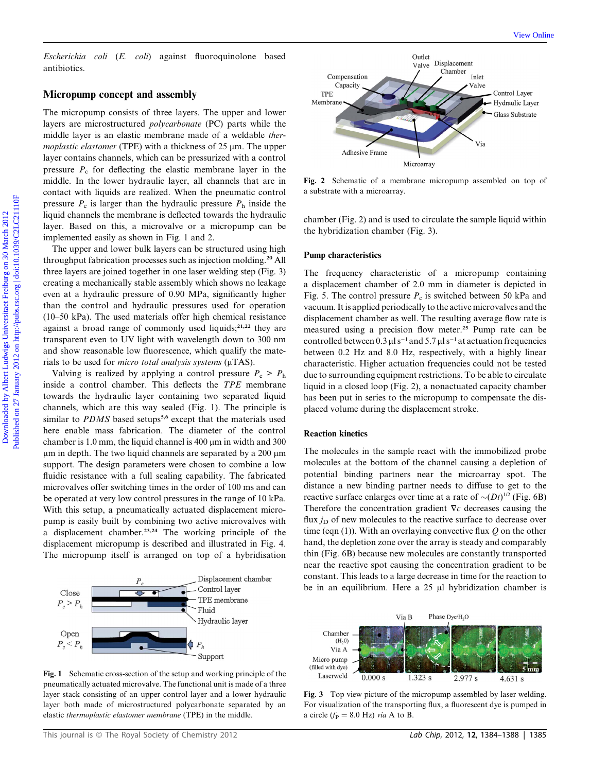Escherichia coli (E. coli) against fluoroquinolone based antibiotics.

#### Micropump concept and assembly

The micropump consists of three layers. The upper and lower layers are microstructured polycarbonate (PC) parts while the middle layer is an elastic membrane made of a weldable thermoplastic elastomer (TPE) with a thickness of  $25 \mu m$ . The upper layer contains channels, which can be pressurized with a control pressure  $P_c$  for deflecting the elastic membrane layer in the middle. In the lower hydraulic layer, all channels that are in contact with liquids are realized. When the pneumatic control pressure  $P_c$  is larger than the hydraulic pressure  $P_h$  inside the liquid channels the membrane is deflected towards the hydraulic layer. Based on this, a microvalve or a micropump can be implemented easily as shown in Fig. 1 and 2.

The upper and lower bulk layers can be structured using high throughput fabrication processes such as injection molding.<sup>20</sup> All three layers are joined together in one laser welding step (Fig. 3) creating a mechanically stable assembly which shows no leakage even at a hydraulic pressure of 0.90 MPa, significantly higher than the control and hydraulic pressures used for operation (10–50 kPa). The used materials offer high chemical resistance against a broad range of commonly used liquids;<sup>21,22</sup> they are transparent even to UV light with wavelength down to 300 nm and show reasonable low fluorescence, which qualify the materials to be used for *micro total analysis systems* ( $\mu$ TAS).

Valving is realized by applying a control pressure  $P_c > P_h$ inside a control chamber. This deflects the TPE membrane towards the hydraulic layer containing two separated liquid channels, which are this way sealed (Fig. 1). The principle is similar to  $PDMS$  based setups<sup>5,6</sup> except that the materials used here enable mass fabrication. The diameter of the control chamber is 1.0 mm, the liquid channel is 400  $\mu$ m in width and 300  $\mu$ m in depth. The two liquid channels are separated by a 200  $\mu$ m support. The design parameters were chosen to combine a low fluidic resistance with a full sealing capability. The fabricated microvalves offer switching times in the order of 100 ms and can be operated at very low control pressures in the range of 10 kPa. With this setup, a pneumatically actuated displacement micropump is easily built by combining two active microvalves with a displacement chamber.<sup>23,24</sup> The working principle of the displacement micropump is described and illustrated in Fig. 4. The micropump itself is arranged on top of a hybridisation



Fig. 1 Schematic cross-section of the setup and working principle of the pneumatically actuated microvalve. The functional unit is made of a three layer stack consisting of an upper control layer and a lower hydraulic layer both made of microstructured polycarbonate separated by an elastic thermoplastic elastomer membrane (TPE) in the middle.



Fig. 2 Schematic of a membrane micropump assembled on top of a substrate with a microarray.

chamber (Fig. 2) and is used to circulate the sample liquid within the hybridization chamber (Fig. 3).

#### Pump characteristics

The frequency characteristic of a micropump containing a displacement chamber of 2.0 mm in diameter is depicted in Fig. 5. The control pressure  $P_c$  is switched between 50 kPa and vacuum. It is applied periodically to the active microvalves and the displacement chamber as well. The resulting average flow rate is measured using a precision flow meter.<sup>25</sup> Pump rate can be controlled between 0.3  $\mu$ l s<sup>-1</sup> and 5.7  $\mu$ l s<sup>-1</sup> at actuation frequencies between 0.2 Hz and 8.0 Hz, respectively, with a highly linear characteristic. Higher actuation frequencies could not be tested due to surrounding equipment restrictions. To be able to circulate liquid in a closed loop (Fig. 2), a nonactuated capacity chamber has been put in series to the micropump to compensate the displaced volume during the displacement stroke. Downloaded engly on a spinor of  $\sim$  He control and the spinor of  $\sim$  He control and the spinor of  $\sim$  He material control and the spinor of  $\sim$  He control and the spinor of the spinor of the spinor of the spinor of th

#### Reaction kinetics

The molecules in the sample react with the immobilized probe molecules at the bottom of the channel causing a depletion of potential binding partners near the microarray spot. The distance a new binding partner needs to diffuse to get to the reactive surface enlarges over time at a rate of  $\sim (Dt)^{1/2}$  (Fig. 6B) Therefore the concentration gradient  $\nabla c$  decreases causing the flux  $i<sub>D</sub>$  of new molecules to the reactive surface to decrease over time (eqn (1)). With an overlaying convective flux  $Q$  on the other hand, the depletion zone over the array is steady and comparably thin (Fig. 6B) because new molecules are constantly transported near the reactive spot causing the concentration gradient to be constant. This leads to a large decrease in time for the reaction to be in an equilibrium. Here a  $25 \mu l$  hybridization chamber is



Fig. 3 Top view picture of the micropump assembled by laser welding. For visualization of the transporting flux, a fluorescent dye is pumped in a circle ( $f_P = 8.0$  Hz) via A to B.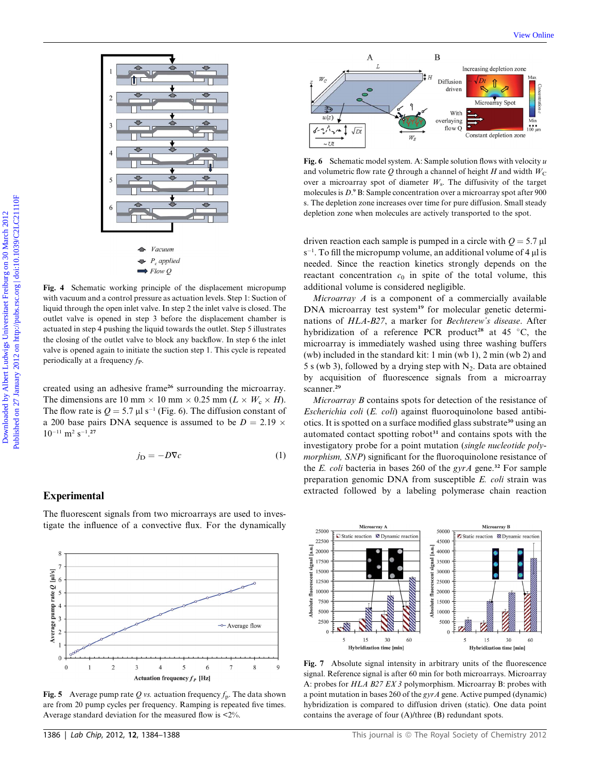

Fig. 4 Schematic working principle of the displacement micropump with vacuum and a control pressure as actuation levels. Step 1: Suction of liquid through the open inlet valve. In step 2 the inlet valve is closed. The outlet valve is opened in step 3 before the displacement chamber is actuated in step 4 pushing the liquid towards the outlet. Step 5 illustrates the closing of the outlet valve to block any backflow. In step 6 the inlet valve is opened again to initiate the suction step 1. This cycle is repeated periodically at a frequency  $f<sub>P</sub>$ .

created using an adhesive frame<sup>26</sup> surrounding the microarray. The dimensions are 10 mm  $\times$  10 mm  $\times$  0.25 mm ( $L \times W_c \times H$ ). The flow rate is  $Q = 5.7 \mu I s^{-1}$  (Fig. 6). The diffusion constant of a 200 base pairs DNA sequence is assumed to be  $D = 2.19 \times$  $10^{-11}$  m<sup>2</sup> s<sup>-1</sup>.<sup>27</sup>

$$
j_{\mathcal{D}} = -D\nabla c \tag{1}
$$

#### Experimental

The fluorescent signals from two microarrays are used to investigate the influence of a convective flux. For the dynamically



**Fig. 5** Average pump rate Q vs. actuation frequency  $f_p$ . The data shown are from 20 pump cycles per frequency. Ramping is repeated five times. Average standard deviation for the measured flow is <2%.



Fig. 6 Schematic model system. A: Sample solution flows with velocity  $u$ and volumetric flow rate Q through a channel of height H and width  $W_C$ over a microarray spot of diameter  $W_s$ . The diffusivity of the target molecules is  $D^9$  B: Sample concentration over a microarray spot after 900 s. The depletion zone increases over time for pure diffusion. Small steady depletion zone when molecules are actively transported to the spot.

driven reaction each sample is pumped in a circle with  $Q = 5.7 \mu$ l  $s^{-1}$ . To fill the micropump volume, an additional volume of 4  $\mu$ l is needed. Since the reaction kinetics strongly depends on the reactant concentration  $c_0$  in spite of the total volume, this additional volume is considered negligible.

Microarray  $A$  is a component of a commercially available DNA microarray test system<sup>19</sup> for molecular genetic determinations of HLA-B27, a marker for Bechterew's disease. After hybridization of a reference PCR product<sup>28</sup> at 45 °C, the microarray is immediately washed using three washing buffers (wb) included in the standard kit: 1 min (wb 1), 2 min (wb 2) and 5 s (wb 3), followed by a drying step with  $N_2$ . Data are obtained by acquisition of fluorescence signals from a microarray scanner.<sup>29</sup>

Microarray B contains spots for detection of the resistance of Escherichia coli (E. coli) against fluoroquinolone based antibiotics. It is spotted on a surface modified glass substrate<sup>30</sup> using an automated contact spotting robot $31$  and contains spots with the investigatory probe for a point mutation (single nucleotide polymorphism, SNP) significant for the fluoroquinolone resistance of the E. coli bacteria in bases 260 of the gyrA gene.<sup>32</sup> For sample preparation genomic DNA from susceptible E. coli strain was extracted followed by a labeling polymerase chain reaction



Fig. 7 Absolute signal intensity in arbitrary units of the fluorescence signal. Reference signal is after 60 min for both microarrays. Microarray A: probes for HLA B27 EX 3 polymorphism. Microarray B: probes with a point mutation in bases 260 of the gyrA gene. Active pumped (dynamic) hybridization is compared to diffusion driven (static). One data point contains the average of four (A)/three (B) redundant spots.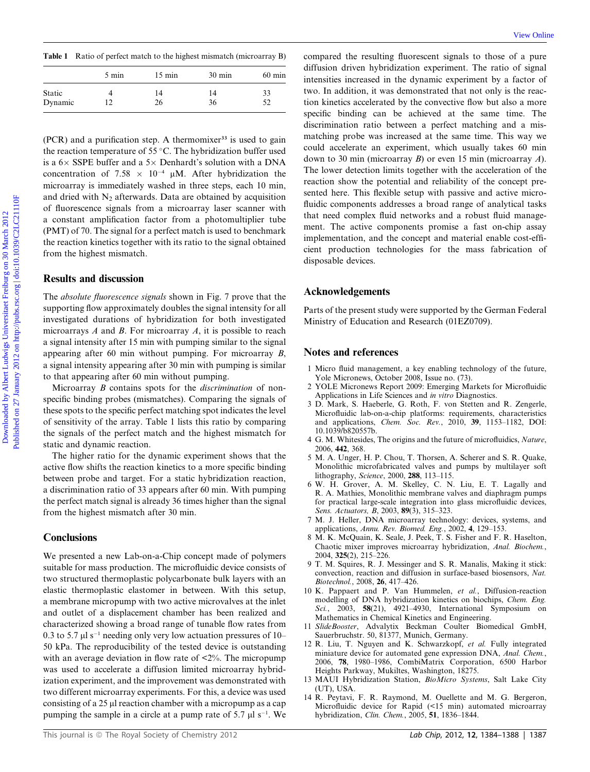| Table 1 Ratio of perfect match to the highest mismatch (microarray B) |  |  |  |  |
|-----------------------------------------------------------------------|--|--|--|--|
|-----------------------------------------------------------------------|--|--|--|--|

|         | 5 min | $15 \text{ min}$ | $30 \text{ min}$ | $60$ min |
|---------|-------|------------------|------------------|----------|
| Static  |       | 14               | 14               | 33       |
| Dynamic | 12    | 26               | 36               | 52       |

 $(PCR)$  and a purification step. A thermomixer<sup>33</sup> is used to gain the reaction temperature of 55  $\degree$ C. The hybridization buffer used is a  $6 \times$  SSPE buffer and a  $5 \times$  Denhardt's solution with a DNA concentration of 7.58  $\times$  10<sup>-4</sup> µM. After hybridization the microarray is immediately washed in three steps, each 10 min, and dried with  $N_2$  afterwards. Data are obtained by acquisition of fluorescence signals from a microarray laser scanner with a constant amplification factor from a photomultiplier tube (PMT) of 70. The signal for a perfect match is used to benchmark the reaction kinetics together with its ratio to the signal obtained from the highest mismatch.

#### Results and discussion

The *absolute fluorescence signals* shown in Fig. 7 prove that the supporting flow approximately doubles the signal intensity for all investigated durations of hybridization for both investigated microarrays  $A$  and  $B$ . For microarray  $A$ , it is possible to reach a signal intensity after 15 min with pumping similar to the signal appearing after 60 min without pumping. For microarray B, a signal intensity appearing after 30 min with pumping is similar to that appearing after 60 min without pumping.

Microarray *B* contains spots for the *discrimination* of nonspecific binding probes (mismatches). Comparing the signals of these spots to the specific perfect matching spot indicates the level of sensitivity of the array. Table 1 lists this ratio by comparing the signals of the perfect match and the highest mismatch for static and dynamic reaction.

The higher ratio for the dynamic experiment shows that the active flow shifts the reaction kinetics to a more specific binding between probe and target. For a static hybridization reaction, a discrimination ratio of 33 appears after 60 min. With pumping the perfect match signal is already 36 times higher than the signal from the highest mismatch after 30 min.

#### **Conclusions**

We presented a new Lab-on-a-Chip concept made of polymers suitable for mass production. The microfluidic device consists of two structured thermoplastic polycarbonate bulk layers with an elastic thermoplastic elastomer in between. With this setup, a membrane micropump with two active microvalves at the inlet and outlet of a displacement chamber has been realized and characterized showing a broad range of tunable flow rates from 0.3 to 5.7  $\mu$ l s<sup>-1</sup> needing only very low actuation pressures of 10– 50 kPa. The reproducibility of the tested device is outstanding with an average deviation in flow rate of  $\langle 2\% \rangle$ . The micropump was used to accelerate a diffusion limited microarray hybridization experiment, and the improvement was demonstrated with two different microarray experiments. For this, a device was used consisting of a 25 µl reaction chamber with a micropump as a cap pumping the sample in a circle at a pump rate of 5.7  $\mu$ l s<sup>-1</sup>. We

compared the resulting fluorescent signals to those of a pure diffusion driven hybridization experiment. The ratio of signal intensities increased in the dynamic experiment by a factor of two. In addition, it was demonstrated that not only is the reaction kinetics accelerated by the convective flow but also a more specific binding can be achieved at the same time. The discrimination ratio between a perfect matching and a mismatching probe was increased at the same time. This way we could accelerate an experiment, which usually takes 60 min down to 30 min (microarray B) or even 15 min (microarray A). The lower detection limits together with the acceleration of the reaction show the potential and reliability of the concept presented here. This flexible setup with passive and active microfluidic components addresses a broad range of analytical tasks that need complex fluid networks and a robust fluid management. The active components promise a fast on-chip assay implementation, and the concept and material enable cost-efficient production technologies for the mass fabrication of disposable devices. **Take 1** Ratio of perfect match on the lighter nistent (witterstrop) a comparated the consisting fluorescent The ratio of again and the conserversite free to the distinguious conserversite free to the distinguious Clienti

#### Acknowledgements

Parts of the present study were supported by the German Federal Ministry of Education and Research (01EZ0709).

### Notes and references

- 1 Micro fluid management, a key enabling technology of the future, Yole Micronews, October 2008, Issue no. (73).
- 2 YOLE Micronews Report 2009: Emerging Markets for Microfluidic Applications in Life Sciences and in vitro Diagnostics.
- 3 D. Mark, S. Haeberle, G. Roth, F. von Stetten and R. Zengerle, Microfluidic lab-on-a-chip platforms: requirements, characteristics and applications, Chem. Soc. Rev., 2010, 39, 1153–1182, DOI: 10.1039/b820557b.
- 4 G. M. Whitesides, The origins and the future of microfluidics, Nature, 2006, 442, 368.
- 5 M. A. Unger, H. P. Chou, T. Thorsen, A. Scherer and S. R. Quake, Monolithic microfabricated valves and pumps by multilayer soft lithography, Science, 2000, 288, 113–115.
- 6 W. H. Grover, A. M. Skelley, C. N. Liu, E. T. Lagally and R. A. Mathies, Monolithic membrane valves and diaphragm pumps for practical large-scale integration into glass microfluidic devices, Sens. Actuators, B, 2003, 89(3), 315-323.
- 7 M. J. Heller, DNA microarray technology: devices, systems, and applications, Annu. Rev. Biomed. Eng., 2002, 4, 129–153.
- 8 M. K. McQuain, K. Seale, J. Peek, T. S. Fisher and F. R. Haselton, Chaotic mixer improves microarray hybridization, Anal. Biochem., 2004, 325(2), 215–226.
- 9 T. M. Squires, R. J. Messinger and S. R. Manalis, Making it stick: convection, reaction and diffusion in surface-based biosensors, Nat. Biotechnol., 2008, 26, 417–426.
- 10 K. Pappaert and P. Van Hummelen, et al., Diffusion-reaction modelling of DNA hybridization kinetics on biochips, Chem. Eng. Sci., 2003, 58(21), 4921–4930, International Symposium on Mathematics in Chemical Kinetics and Engineering.
- 11 SlideBooster, Advalytix Beckman Coulter Biomedical GmbH, Sauerbruchstr. 50, 81377, Munich, Germany.
- 12 R. Liu, T. Nguyen and K. Schwarzkopf, et al. Fully integrated miniature device for automated gene expression DNA, Anal. Chem., 2006, 78, 1980–1986, CombiMatrix Corporation, 6500 Harbor Heights Parkway, Mukiltes, Washington, 18275.
- 13 MAUI Hybridization Station, BioMicro Systems, Salt Lake City (UT), USA.
- 14 R. Peytavi, F. R. Raymond, M. Ouellette and M. G. Bergeron, Microfluidic device for Rapid (<15 min) automated microarray hybridization, Clin. Chem., 2005, 51, 1836–1844.